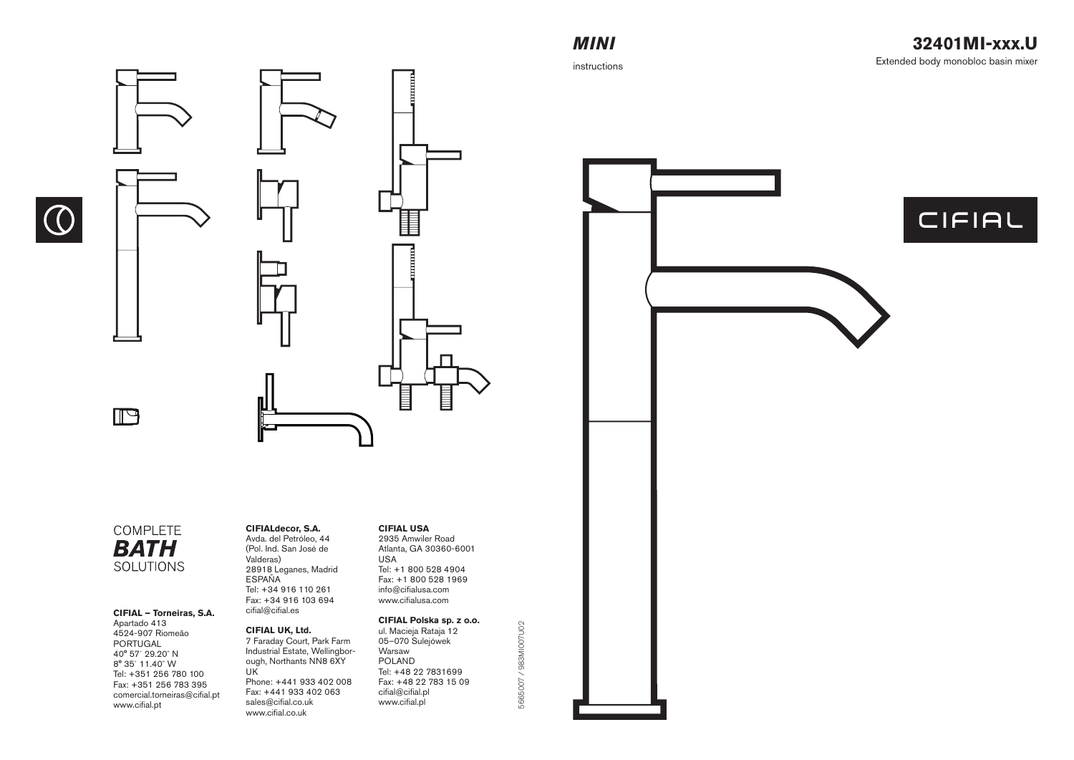# *MINI*

instructions



## COMPLETE **BATH SOLUTIONS**

 $\bigcirc$ 

#### **CIFIAL – Torneiras, S.A.**

Apartado 413 4524-907 Riomeão PORTUGAL 40° 57´ 29.20˝ N 8° 35´ 11.40˝ W Tel: +351 256 780 100 Fax: +351 256 783 395 comercial.torneiras@cifial.pt www.cifial.pt

### **CIFIALdecor, S.A.**

Avda. del Petróleo, 44 (Pol. Ind. San José de Valderas) 28918 Leganes, Madrid ESPAÑA Tel: +34 916 110 261 Fax: +34 916 103 694  $cifial @ cifial.$ es

### **CIFIAL UK, Ltd.**

7 Faraday Court, Park Farm Industrial Estate, Wellingborough, Northants NN8 6XY UK Phone: +441 933 402 008 Fax: +441 933 402 063 sales@cifial.co.uk www.cifial.co.uk

### **CIFIAL USA**

2935 Amwiler Road Atlanta, GA 30360-6001 USA Tel: +1 800 528 4904 Fax: +1 800 528 1969 info@cifialusa.com www.cifialusa.com

# **CIFIAL Polska sp. z o.o.**

5665007 / 983MI007U02

5665007 / 983MI007U02

ul. Macieja Rataja 12 05–070 Sulejówek Warsaw POLAND Tel: +48 22 7831699 Fax: +48 22 783 15 09 cifial@cifial.pl www.cifial.pl